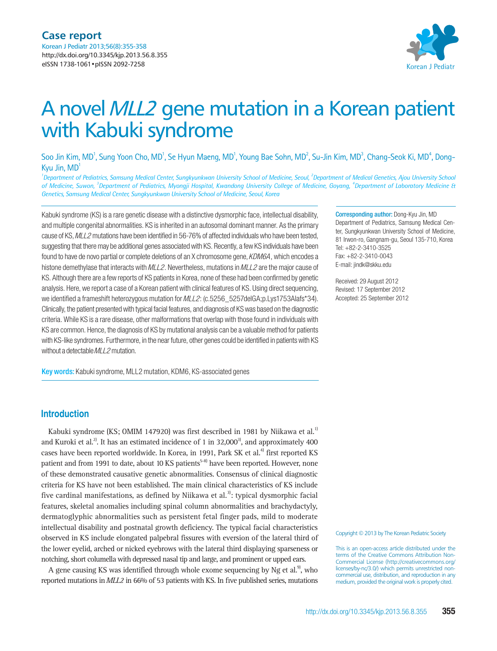

# A novel MLL2 gene mutation in a Korean patient with Kabuki syndrome

Soo Jin Kim, MD<sup>1</sup>, Sung Yoon Cho, MD<sup>1</sup>, Se Hyun Maeng, MD<sup>1</sup>, Young Bae Sohn, MD<sup>2</sup>, Su-Jin Kim, MD<sup>3</sup>, Chang-Seok Ki, MD<sup>4</sup>, Dong-Kyu Jin, MD1

<sup>1</sup>Department of Pediatrics, Samsung Medical Center, Sungkyunkwan University School of Medicine, Seoul, <sup>2</sup>Department of Medical Genetics, Ajou University School of Medicine, Suwon, <sup>3</sup>Department of Pediatrics, Myongji Hospital, Kwandong University College of Medicine, Goyang, <sup>4</sup>Department of Laboratory Medicine & *Genetics, Samsung Medical Center, Sungkyunkwan University School of Medicine, Seoul, Korea*

Kabuki syndrome (KS) is a rare genetic disease with a distinctive dysmorphic face, intellectual disability, and multiple congenital abnormalities. KS is inherited in an autosomal dominant manner. As the primary cause of KS, MLL2 mutations have been identified in 56-76% of affected individuals who have been tested, suggesting that there may be additional genes associated with KS. Recently, a few KS individuals have been found to have de novo partial or complete deletions of an X chromosome gene, KDM6A, which encodes a histone demethylase that interacts with  $MLL2$ . Nevertheless, mutations in  $MLL2$  are the major cause of KS. Although there are a few reports of KS patients in Korea, none of these had been confirmed by genetic analysis. Here, we report a case of a Korean patient with clinical features of KS. Using direct sequencing, we identified a frameshift heterozygous mutation for  $MLL2$ : (c.5256 5257delGA;p.Lys1753Alafs\*34). Clinically, the patient presented with typical facial features, and diagnosis of KS was based on the diagnostic criteria. While KS is a rare disease, other malformations that overlap with those found in individuals with KS are common. Hence, the diagnosis of KS by mutational analysis can be a valuable method for patients with KS-like syndromes. Furthermore, in the near future, other genes could be identified in patients with KS without a detectable MLL2 mutation.

Key words: Kabuki syndrome, MLL2 mutation, KDM6, KS-associated genes

Corresponding author: Dong-Kyu Jin, MD

Department of Pediatrics, Samsung Medical Center, Sungkyunkwan University School of Medicine, 81 Irwon-ro, Gangnam-gu, Seoul 135-710, Korea Tel: +82-2-3410-3525 Fax: +82-2-3410-0043 E-mail: jindk@skku.edu

Received: 29 August 2012 Revised: 17 September 2012 Accepted: 25 September 2012

## **Introduction**

Kabuki syndrome (KS; OMIM 147920) was first described in 1981 by Niikawa et al.<sup>1)</sup> and Kuroki et al.<sup>2)</sup>. It has an estimated incidence of 1 in  $32,000^3$ , and approximately 400 cases have been reported worldwide. In Korea, in 1991, Park SK et al.<sup>4)</sup> first reported KS patient and from 1991 to date, about 10 KS patients<sup>5-8)</sup> have been reported. However, none of these demonstrated causative genetic abnormalities. Consensus of clinical diagnostic criteria for KS have not been established. The main clinical characteristics of KS include five cardinal manifestations, as defined by Niikawa et al.<sup>3)</sup>: typical dysmorphic facial features, skeletal anomalies including spinal column abnormalities and brachydactyly, dermatoglyphic abnormalities such as persistent fetal finger pads, mild to moderate intellectual disability and postnatal growth deficiency. The typical facial characteristics observed in KS include elongated palpebral fissures with eversion of the lateral third of the lower eyelid, arched or nicked eyebrows with the lateral third displaying sparseness or notching, short columella with depressed nasal tip and large, and prominent or upped ears.

A gene causing KS was identified through whole exome sequencing by Ng et al.<sup>9</sup>, who reported mutations in MLL2 in 66% of 53 patients with KS. In five published series, mutations

#### Copyright © 2013 by The Korean Pediatric Society

This is an open-access article distributed under the terms of the Creative Commons Attribution Non-Commercial License (http://creativecommons.org/ licenses/by-nc/3.0/) which permits unrestricted noncommercial use, distribution, and reproduction in any medium, provided the original work is properly cited.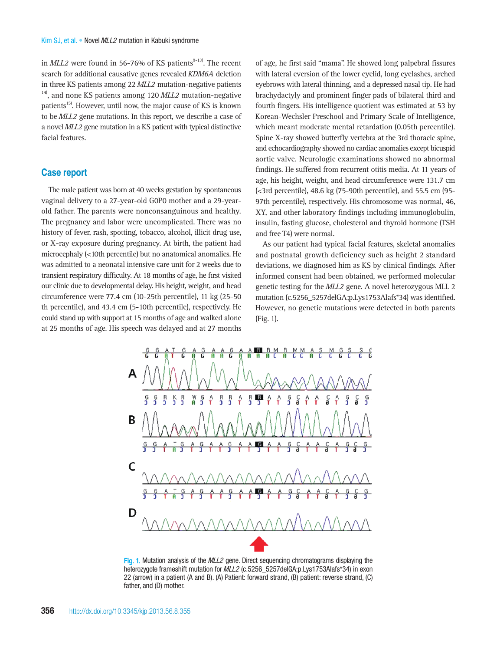in  $MLL2$  were found in 56-76% of KS patients<sup>9-13)</sup>. The recent search for additional causative genes revealed KDM6A deletion in three KS patients among 22 MLL2 mutation-negative patients  $14$ , and none KS patients among 120 MLL2 mutation-negative patients<sup>15)</sup>. However, until now, the major cause of KS is known to be MLL2 gene mutations. In this report, we describe a case of a novel MLL2 gene mutation in a KS patient with typical distinctive facial features.

#### **Case report**

The male patient was born at 40 weeks gestation by spontaneous vaginal delivery to a 27-year-old G0P0 mother and a 29-yearold father. The parents were nonconsanguinous and healthy. The pregnancy and labor were uncomplicated. There was no history of fever, rash, spotting, tobacco, alcohol, illicit drug use, or X-ray exposure during pregnancy. At birth, the patient had microcephaly (<10th percentile) but no anatomical anomalies. He was admitted to a neonatal intensive care unit for 2 weeks due to transient respiratory difficulty. At 18 months of age, he first visited our clinic due to developmental delay. His height, weight, and head circumference were 77.4 cm (10-25th percentile), 11 kg (25-50 th percentile), and 43.4 cm (5-10th percentile), respectively. He could stand up with support at 15 months of age and walked alone at 25 months of age. His speech was delayed and at 27 months

of age, he first said "mama". He showed long palpebral fissures with lateral eversion of the lower eyelid, long eyelashes, arched eyebrows with lateral thinning, and a depressed nasal tip. He had brachydactyly and prominent finger pads of bilateral third and fourth fingers. His intelligence quotient was estimated at 53 by Korean-Wechsler Preschool and Primary Scale of Intelligence, which meant moderate mental retardation (0.05th percentile). Spine X-ray showed butterfly vertebra at the 3rd thoracic spine, and echocardiography showed no cardiac anomalies except bicuspid aortic valve. Neurologic examinations showed no abnormal findings. He suffered from recurrent otitis media. At 11 years of age, his height, weight, and head circumference were 131.7 cm (<3rd percentile), 48.6 kg (75-90th percentile), and 55.5 cm (95- 97th percentile), respectively. His chromosome was normal, 46, XY, and other laboratory findings including immunoglobulin, insulin, fasting glucose, cholesterol and thyroid hormone (TSH and free T4) were normal.

As our patient had typical facial features, skeletal anomalies and postnatal growth deficiency such as height 2 standard deviations, we diagnosed him as KS by clinical findings. After informed consent had been obtained, we performed molecular genetic testing for the MLL2 gene. A novel heterozygous MLL 2 mutation (c.5256\_5257delGA;p.Lys1753Alafs\*34) was identified. However, no genetic mutations were detected in both parents (Fig. 1).



Fig. 1. Mutation analysis of the MLL2 gene. Direct sequencing chromatograms displaying the heterozygote frameshift mutation for MLL2 (c.5256\_5257delGA;p.Lys1753Alafs\*34) in exon 22 (arrow) in a patient (A and B). (A) Patient: forward strand, (B) patient: reverse strand, (C) father, and (D) mother.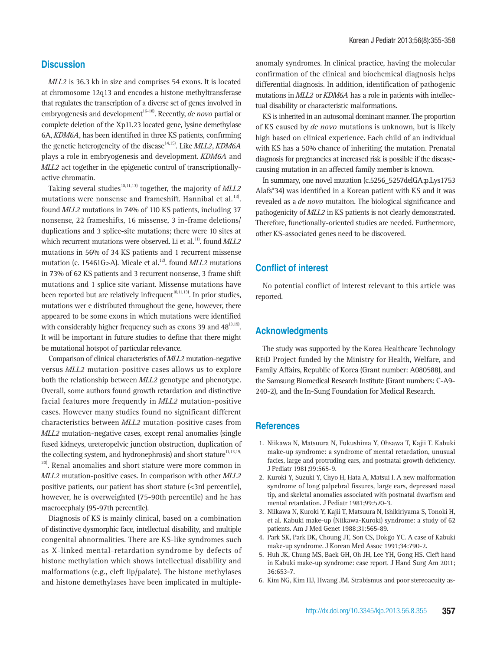#### **Discussion**

MLL2 is 36.3 kb in size and comprises 54 exons. It is located at chromosome 12q13 and encodes a histone methyltransferase that regulates the transcription of a diverse set of genes involved in embryogenesis and development<sup>16-18)</sup>. Recently, *de novo* partial or complete deletion of the Xp11.23 located gene, lysine demethylase 6A, KDM6A, has been identified in three KS patients, confirming the genetic heterogeneity of the disease<sup>14,15)</sup>. Like  $ML2$ , KDM6A plays a role in embryogenesis and development. KDM6A and MLL2 act together in the epigenetic control of transcriptionallyactive chromatin.

Taking several studies<sup>10,11,13)</sup> together, the majority of  $MLL2$ mutations were nonsense and frameshift. Hannibal et al.<sup>13)</sup>. found MLL2 mutations in 74% of 110 KS patients, including 37 nonsense, 22 frameshifts, 16 missense, 3 in-frame deletions/ duplications and 3 splice-site mutations; there were 10 sites at which recurrent mutations were observed. Li et al.<sup>11)</sup>. found  $MLL2$ mutations in 56% of 34 KS patients and 1 recurrent missense mutation (c. 15461G>A). Micale et al.<sup>12)</sup>. found *MLL2* mutations in 73% of 62 KS patients and 3 recurrent nonsense, 3 frame shift mutations and 1 splice site variant. Missense mutations have been reported but are relatively infrequent<sup>10,11,13)</sup>. In prior studies, mutations wer e distributed throughout the gene, however, there appeared to be some exons in which mutations were identified with considerably higher frequency such as exons 39 and  $48^{13,19}$ . It will be important in future studies to define that there might be mutational hotspot of particular relevance.

Comparison of clinical characteristics of MLL2 mutation-negative versus MLL2 mutation-positive cases allows us to explore both the relationship between MLL2 genotype and phenotype. Overall, some authors found growth retardation and distinctive facial features more frequently in MLL2 mutation-positive cases. However many studies found no significant different characteristics between MLL2 mutation-positive cases from MLL2 mutation-negative cases, except renal anomalies (single fused kidneys, ureteropelvic junction obstruction, duplication of the collecting system, and hydronephrosis) and short stature<sup>11,13,19,</sup>  $20$ . Renal anomalies and short stature were more common in MLL2 mutation-positive cases. In comparison with other MLL2 positive patients, our patient has short stature (<3rd percentile), however, he is overweighted (75-90th percentile) and he has macrocephaly (95-97th percentile).

Diagnosis of KS is mainly clinical, based on a combination of distinctive dysmorphic face, intellectual disability, and multiple congenital abnormalities. There are KS-like syndromes such as X-linked mental-retardation syndrome by defects of histone methylation which shows intellectual disability and malformations (e.g., cleft lip/palate). The histone methylases and histone demethylases have been implicated in multipleanomaly syndromes. In clinical practice, having the molecular confirmation of the clinical and biochemical diagnosis helps differential diagnosis. In addition, identification of pathogenic mutations in MLL2 or KDM6A has a role in patients with intellectual disability or characteristic malformations.

KS is inherited in an autosomal dominant manner. The proportion of KS caused by de novo mutations is unknown, but is likely high based on clinical experience. Each child of an individual with KS has a 50% chance of inheriting the mutation. Prenatal diagnosis for pregnancies at increased risk is possible if the diseasecausing mutation in an affected family member is known.

In summary, one novel mutation (c.5256\_5257delGA;p.Lys1753 Alafs\*34) was identified in a Korean patient with KS and it was revealed as a de novo mutaiton. The biological significance and pathogenicity of MLL2 in KS patients is not clearly demonstrated. Therefore, functionally-oriented studies are needed. Furthermore, other KS-associated genes need to be discovered.

## **Conflict of interest**

No potential conflict of interest relevant to this article was reported.

#### **Acknowledgments**

The study was supported by the Korea Healthcare Technology R&D Project funded by the Ministry for Health, Welfare, and Family Affairs, Republic of Korea (Grant number: A080588), and the Samsung Biomedical Research Institute (Grant numbers: C-A9- 240-2), and the In-Sung Foundation for Medical Research.

#### **References**

- 1. Niikawa N, Matsuura N, Fukushima Y, Ohsawa T, Kajii T. Kabuki make-up syndrome: a syndrome of mental retardation, unusual facies, large and protruding ears, and postnatal growth deficiency. J Pediatr 1981;99:565-9.
- 2. Kuroki Y, Suzuki Y, Chyo H, Hata A, Matsui I. A new malformation syndrome of long palpebral fissures, large ears, depressed nasal tip, and skeletal anomalies associated with postnatal dwarfism and mental retardation. J Pediatr 1981;99:570-3.
- 3. Niikawa N, Kuroki Y, Kajii T, Matsuura N, Ishikiriyama S, Tonoki H, et al. Kabuki make-up (Niikawa-Kuroki) syndrome: a study of 62 patients. Am J Med Genet 1988;31:565-89.
- 4. Park SK, Park DK, Choung JT, Son CS, Dokgo YC. A case of Kabuki make-up syndrome. J Korean Med Assoc 1991;34:790-2.
- 5. Huh JK, Chung MS, Baek GH, Oh JH, Lee YH, Gong HS. Cleft hand in Kabuki make-up syndrome: case report. J Hand Surg Am 2011; 36:653-7.
- 6. Kim NG, Kim HJ, Hwang JM. Strabismus and poor stereoacuity as-